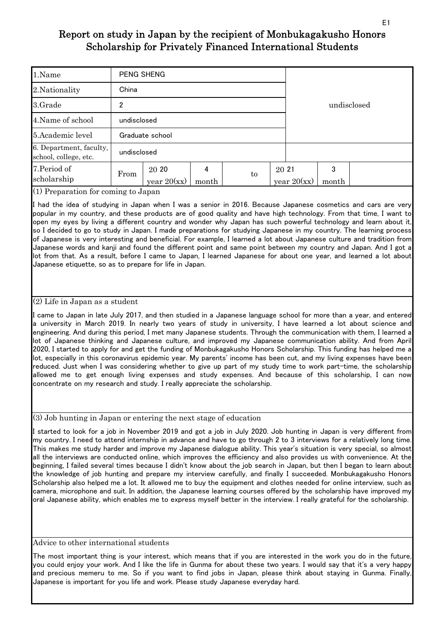| 1.Name                                           | PENG SHENG  |                        |            |             |       |               |            |  |  |  |  |  |
|--------------------------------------------------|-------------|------------------------|------------|-------------|-------|---------------|------------|--|--|--|--|--|
| 2. Nationality                                   | China       |                        |            | undisclosed |       |               |            |  |  |  |  |  |
| 3.Grade                                          | 2           |                        |            |             |       |               |            |  |  |  |  |  |
| 4. Name of school                                | undisclosed |                        |            |             |       |               |            |  |  |  |  |  |
| 5. Academic level                                |             | Graduate school        |            |             |       |               |            |  |  |  |  |  |
| 6. Department, faculty,<br>school, college, etc. | undisclosed |                        |            |             |       |               |            |  |  |  |  |  |
| 7. Period of<br>scholarship<br>$\sim$            | From        | 20 20<br>year $20(xx)$ | 4<br>month | to          | 20 21 | year $20(xx)$ | 3<br>month |  |  |  |  |  |

(1) Preparation for coming to Japan

I had the idea of studying in Japan when I was a senior in 2016. Because Japanese cosmetics and cars are very popular in my country, and these products are of good quality and have high technology. From that time, I want to open my eyes by living a different country and wonder why Japan has such powerful technology and learn about it, so I decided to go to study in Japan. I made preparations for studying Japanese in my country. The learning process of Japanese is very interesting and beneficial. For example, I learned a lot about Japanese culture and tradition from Japanese words and kanji and found the different point and same point between my country and Japan. And I got a lot from that. As a result, before I came to Japan, I learned Japanese for about one year, and learned a lot about Japanese etiquette, so as to prepare for life in Japan.

### (2) Life in Japan as a student

I came to Japan in late July 2017, and then studied in a Japanese language school for more than a year, and entered a university in March 2019. In nearly two years of study in university, I have learned a lot about science and engineering. And during this period, I met many Japanese students. Through the communication with them, I learned a lot of Japanese thinking and Japanese culture, and improved my Japanese communication ability. And from April 2020, I started to apply for and get the funding of Monbukagakusho Honors Scholarship. This funding has helped me a lot, especially in this coronavirus epidemic year. My parents' income has been cut, and my living expenses have been reduced. Just when I was considering whether to give up part of my study time to work part-time, the scholarship allowed me to get enough living expenses and study expenses. And because of this scholarship, I can now concentrate on my research and study. I really appreciate the scholarship.

(3) Job hunting in Japan or entering the next stage of education

I started to look for a job in November 2019 and got a job in July 2020. Job hunting in Japan is very different from my country. I need to attend internship in advance and have to go through 2 to 3 interviews for a relatively long time. This makes me study harder and improve my Japanese dialogue ability. This year's situation is very special, so almost all the interviews are conducted online, which improves the efficiency and also provides us with convenience. At the beginning, I failed several times because I didn't know about the job search in Japan, but then I began to learn about the knowledge of job hunting and prepare my interview carefully, and finally I succeeded. Monbukagakusho Honors Scholarship also helped me a lot. It allowed me to buy the equipment and clothes needed for online interview, such as camera, microphone and suit. In addition, the Japanese learning courses offered by the scholarship have improved my oral Japanese ability, which enables me to express myself better in the interview. I really grateful for the scholarship.

Advice to other international students

The most important thing is your interest, which means that if you are interested in the work you do in the future, you could enjoy your work. And I like the life in Gunma for about these two years. I would say that it's a very happy and precious memeru to me. So if you want to find jobs in Japan, please think about staying in Gunma. Finally, Japanese is important for you life and work. Please study Japanese everyday hard.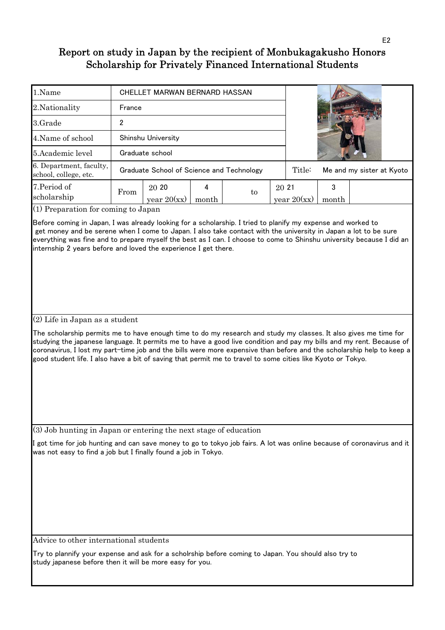| 1.Name                                           |        | CHELLET MARWAN BERNARD HASSAN             |       |    |        |               |                           |  |
|--------------------------------------------------|--------|-------------------------------------------|-------|----|--------|---------------|---------------------------|--|
| 2. Nationality                                   | France |                                           |       |    |        |               |                           |  |
| 3.Grade                                          | າ      |                                           |       |    |        |               |                           |  |
| 4. Name of school                                |        | Shinshu University                        |       |    |        |               |                           |  |
| 5. Academic level                                |        | Graduate school                           |       |    |        |               |                           |  |
| 6. Department, faculty,<br>school, college, etc. |        | Graduate School of Science and Technology |       |    | Title: |               | Me and my sister at Kyoto |  |
| 7. Period of<br>scholarship                      | From   | 20 20<br>year $20(xx)$                    | month | to | 20 21  | year $20(xx)$ | month                     |  |

(1) Preparation for coming to Japan

Before coming in Japan, I was already looking for a scholarship. I tried to planify my expense and worked to get money and be serene when I come to Japan. I also take contact with the university in Japan a lot to be sure everything was fine and to prepare myself the best as I can. I choose to come to Shinshu university because I did an internship 2 years before and loved the experience I get there.

### (2) Life in Japan as a student

The scholarship permits me to have enough time to do my research and study my classes. It also gives me time for studying the japanese language. It permits me to have a good live condition and pay my bills and my rent. Because of coronavirus, I lost my part-time job and the bills were more expensive than before and the scholarship help to keep a good student life. I also have a bit of saving that permit me to travel to some cities like Kyoto or Tokyo.

(3) Job hunting in Japan or entering the next stage of education

got time for job hunting and can save money to go to tokyo job fairs. A lot was online because of coronavirus and it was not easy to find a job but I finally found a job in Tokyo.

Advice to other international students

Try to plannify your expense and ask for a scholrship before coming to Japan. You should also try to study japanese before then it will be more easy for you.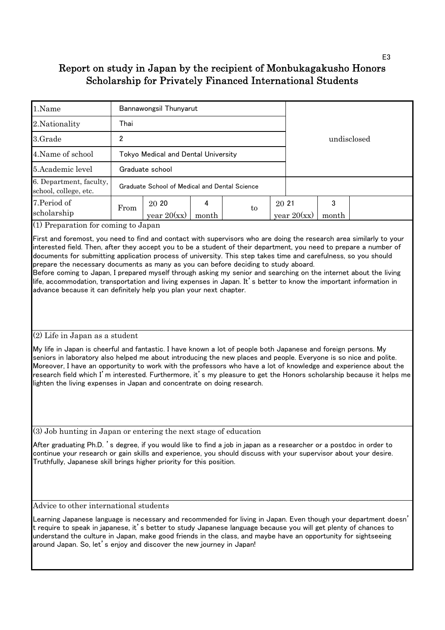| 1.Name                                           |                                                                                                                                                                                                                                                                                      | Bannawongsil Thunyarut                        |  |             |  |                        |            |  |
|--------------------------------------------------|--------------------------------------------------------------------------------------------------------------------------------------------------------------------------------------------------------------------------------------------------------------------------------------|-----------------------------------------------|--|-------------|--|------------------------|------------|--|
| 2. Nationality                                   | Thai                                                                                                                                                                                                                                                                                 |                                               |  |             |  |                        |            |  |
| 3.Grade                                          | 2                                                                                                                                                                                                                                                                                    |                                               |  | undisclosed |  |                        |            |  |
| 4. Name of school                                |                                                                                                                                                                                                                                                                                      | Tokyo Medical and Dental University           |  |             |  |                        |            |  |
| 5. Academic level                                |                                                                                                                                                                                                                                                                                      | Graduate school                               |  |             |  |                        |            |  |
| 6. Department, faculty,<br>school, college, etc. |                                                                                                                                                                                                                                                                                      | Graduate School of Medical and Dental Science |  |             |  |                        |            |  |
| 7. Period of<br>scholarship                      | 20 20<br>4<br>From<br>to<br>year $20(xx)$<br>month<br>$(1)$ n $(1)$ $(2)$ $(3)$ $(4)$ $(5)$ $(6)$ $(1)$ $(1)$ $(1)$ $(1)$ $(1)$ $(1)$ $(1)$ $(1)$ $(1)$ $(1)$ $(1)$ $(1)$ $(1)$ $(1)$ $(1)$ $(1)$ $(1)$ $(1)$ $(1)$ $(1)$ $(1)$ $(1)$ $(1)$ $(1)$ $(1)$ $(1)$ $(1)$ $(1)$ $(1)$ $(1$ |                                               |  |             |  | 20 21<br>year $20(xx)$ | 3<br>month |  |

(1) Preparation for coming to Japan

First and foremost, you need to find and contact with supervisors who are doing the research area similarly to your interested field. Then, after they accept you to be a student of their department, you need to prepare a number of documents for submitting application process of university. This step takes time and carefulness, so you should prepare the necessary documents as many as you can before deciding to study aboard.

Before coming to Japan, I prepared myself through asking my senior and searching on the internet about the living life, accommodation, transportation and living expenses in Japan. It's better to know the important information in advance because it can definitely help you plan your next chapter.

### (2) Life in Japan as a student

My life in Japan is cheerful and fantastic. I have known a lot of people both Japanese and foreign persons. My seniors in laboratory also helped me about introducing the new places and people. Everyone is so nice and polite. Moreover, I have an opportunity to work with the professors who have a lot of knowledge and experience about the research field which I'm interested. Furthermore, it's my pleasure to get the Honors scholarship because it helps me lighten the living expenses in Japan and concentrate on doing research.

(3) Job hunting in Japan or entering the next stage of education

After graduating Ph.D. 's degree, if you would like to find a job in japan as a researcher or a postdoc in order to continue your research or gain skills and experience, you should discuss with your supervisor about your desire. Truthfully, Japanese skill brings higher priority for this position.

Advice to other international students

Learning Japanese language is necessary and recommended for living in Japan. Even though your department doesn' t require to speak in japanese, it's better to study Japanese language because you will get plenty of chances to understand the culture in Japan, make good friends in the class, and maybe have an opportunity for sightseeing around Japan. So, let's enjoy and discover the new journey in Japan!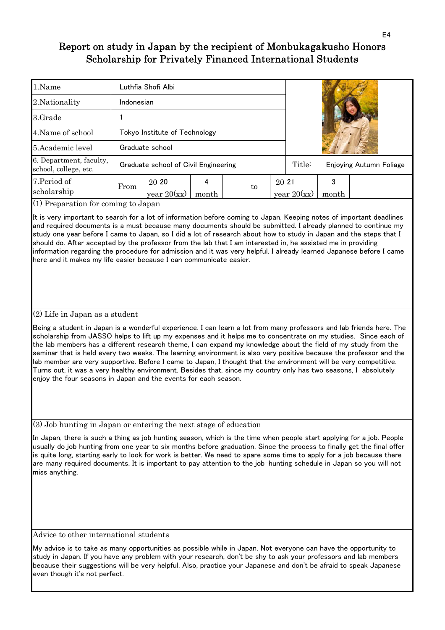| 1.Name                                           |            | Luthfia Shofi Albi                   |       |  |        |               |                         |  |
|--------------------------------------------------|------------|--------------------------------------|-------|--|--------|---------------|-------------------------|--|
| 2. Nationality                                   | Indonesian |                                      |       |  |        |               |                         |  |
| 3.Grade                                          |            |                                      |       |  |        |               |                         |  |
| 4. Name of school                                |            | Tokyo Institute of Technology        |       |  |        |               |                         |  |
| 5. Academic level                                |            | Graduate school                      |       |  |        |               |                         |  |
| 6. Department, faculty,<br>school, college, etc. |            | Graduate school of Civil Engineering |       |  | Title: |               | Enjoying Autumn Foliage |  |
| 7. Period of                                     |            | 20 20<br>20 21<br>From<br>to         |       |  |        |               | 3                       |  |
| scholarship                                      |            | year $20(xx)$                        | month |  |        | year $20(xx)$ | month                   |  |

(1) Preparation for coming to Japan

It is very important to search for a lot of information before coming to Japan. Keeping notes of important deadlines and required documents is a must because many documents should be submitted. I already planned to continue my study one year before I came to Japan, so I did a lot of research about how to study in Japan and the steps that I should do. After accepted by the professor from the lab that I am interested in, he assisted me in providing information regarding the procedure for admission and it was very helpful. I already learned Japanese before I came here and it makes my life easier because I can communicate easier.

#### (2) Life in Japan as a student

Being a student in Japan is a wonderful experience. I can learn a lot from many professors and lab friends here. The scholarship from JASSO helps to lift up my expenses and it helps me to concentrate on my studies. Since each of the lab members has a different research theme, I can expand my knowledge about the field of my study from the seminar that is held every two weeks. The learning environment is also very positive because the professor and the lab member are very supportive. Before I came to Japan, I thought that the environment will be very competitive. Turns out, it was a very healthy environment. Besides that, since my country only has two seasons, I absolutely enjoy the four seasons in Japan and the events for each season.

(3) Job hunting in Japan or entering the next stage of education

In Japan, there is such a thing as job hunting season, which is the time when people start applying for a job. People usually do job hunting from one year to six months before graduation. Since the process to finally get the final offer is quite long, starting early to look for work is better. We need to spare some time to apply for a job because there are many required documents. It is important to pay attention to the job-hunting schedule in Japan so you will not miss anything.

Advice to other international students

My advice is to take as many opportunities as possible while in Japan. Not everyone can have the opportunity to study in Japan. If you have any problem with your research, don't be shy to ask your professors and lab members because their suggestions will be very helpful. Also, practice your Japanese and don't be afraid to speak Japanese even though it's not perfect.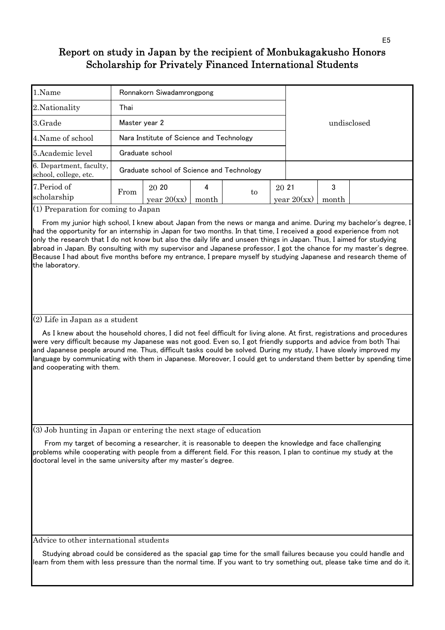| 1.Name                                           |               | Ronnakorn Siwadamrongpong                 |            |             |       |               |            |  |  |  |  |
|--------------------------------------------------|---------------|-------------------------------------------|------------|-------------|-------|---------------|------------|--|--|--|--|
| 2. Nationality                                   | Thai          |                                           |            |             |       |               |            |  |  |  |  |
| 3.Grade                                          | Master year 2 |                                           |            | undisclosed |       |               |            |  |  |  |  |
| 4. Name of school                                |               | Nara Institute of Science and Technology  |            |             |       |               |            |  |  |  |  |
| 5. Academic level                                |               | Graduate school                           |            |             |       |               |            |  |  |  |  |
| 6. Department, faculty,<br>school, college, etc. |               | Graduate school of Science and Technology |            |             |       |               |            |  |  |  |  |
| 7. Period of<br>scholarship                      | From          | 20 20<br>year $20(xx)$                    | 4<br>month | to          | 20 21 | year $20(xx)$ | 3<br>month |  |  |  |  |

(1) Preparation for coming to Japan

 From my junior high school, I knew about Japan from the news or manga and anime. During my bachelor's degree, I had the opportunity for an internship in Japan for two months. In that time, I received a good experience from not only the research that I do not know but also the daily life and unseen things in Japan. Thus, I aimed for studying abroad in Japan. By consulting with my supervisor and Japanese professor, I got the chance for my master's degree. Because I had about five months before my entrance, I prepare myself by studying Japanese and research theme of the laboratory.

### (2) Life in Japan as a student

 As I knew about the household chores, I did not feel difficult for living alone. At first, registrations and procedures were very difficult because my Japanese was not good. Even so, I got friendly supports and advice from both Thai and Japanese people around me. Thus, difficult tasks could be solved. During my study, I have slowly improved my language by communicating with them in Japanese. Moreover, I could get to understand them better by spending time and cooperating with them.

(3) Job hunting in Japan or entering the next stage of education

 From my target of becoming a researcher, it is reasonable to deepen the knowledge and face challenging problems while cooperating with people from a different field. For this reason, I plan to continue my study at the doctoral level in the same university after my master's degree.

Advice to other international students

 Studying abroad could be considered as the spacial gap time for the small failures because you could handle and learn from them with less pressure than the normal time. If you want to try something out, please take time and do it.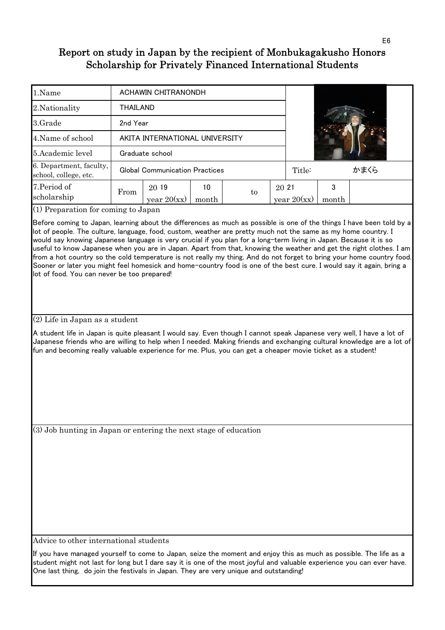| 1.Name                                           |          | ACHAWIN CHITRANONDH                   |             |    |        |               |            |  |
|--------------------------------------------------|----------|---------------------------------------|-------------|----|--------|---------------|------------|--|
| 2. Nationality                                   | THAILAND |                                       |             |    |        |               |            |  |
| 3.Grade                                          | 2nd Year |                                       |             |    |        |               |            |  |
| 4. Name of school                                |          | AKITA INTERNATIONAL UNIVERSITY        |             |    |        |               |            |  |
| 5. Academic level                                |          | Graduate school                       |             |    |        |               |            |  |
| 6. Department, faculty,<br>school, college, etc. |          | <b>Global Communication Practices</b> |             |    | Title: |               | かまくら       |  |
| 7. Period of<br>scholarship                      | From     | 20 19<br>year $20(xx)$                | 10<br>month | to | 20 21  | year $20(xx)$ | 3<br>month |  |

(1) Preparation for coming to Japan

Before coming to Japan, learning about the differences as much as possible is one of the things I have been told by a lot of people. The culture, language, food, custom, weather are pretty much not the same as my home country. I would say knowing Japanese language is very crucial if you plan for a long-term living in Japan. Because it is so useful to know Japanese when you are in Japan. Apart from that, knowing the weather and get the right clothes. I am from a hot country so the cold temperature is not really my thing. And do not forget to bring your home country food. Sooner or later you might feel homesick and home-country food is one of the best cure. I would say it again, bring a lot of food. You can never be too prepared!

### (2) Life in Japan as a student

A student life in Japan is quite pleasant I would say. Even though I cannot speak Japanese very well, I have a lot of Japanese friends who are willing to help when I needed. Making friends and exchanging cultural knowledge are a lot of fun and becoming really valuable experience for me. Plus, you can get a cheaper movie ticket as a student!

(3) Job hunting in Japan or entering the next stage of education

Advice to other international students

If you have managed yourself to come to Japan, seize the moment and enjoy this as much as possible. The life as a student might not last for long but I dare say it is one of the most joyful and valuable experience you can ever have. One last thing, do join the festivals in Japan. They are very unique and outstanding!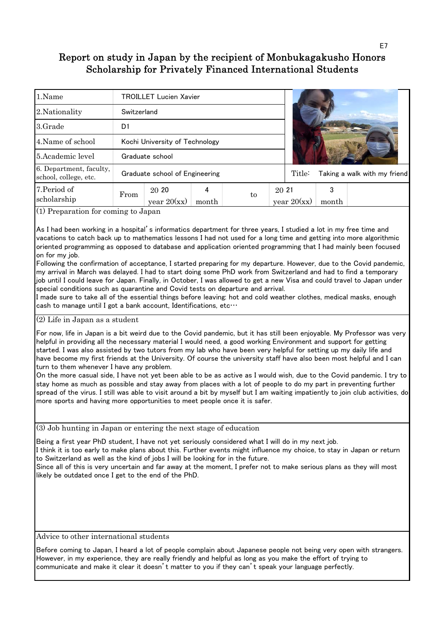| 1.Name                                           |             | <b>TROILLET Lucien Xavier</b>  |       |    |       |               |       |                              |
|--------------------------------------------------|-------------|--------------------------------|-------|----|-------|---------------|-------|------------------------------|
| 2. Nationality                                   | Switzerland |                                |       |    |       |               |       |                              |
| 3.Grade                                          | D1          |                                |       |    |       |               |       |                              |
| 4. Name of school                                |             | Kochi University of Technology |       |    |       |               |       |                              |
| 5. Academic level                                |             | Graduate school                |       |    |       |               |       |                              |
| 6. Department, faculty,<br>school, college, etc. |             | Graduate school of Engineering |       |    |       | Title:        |       | Taking a walk with my friend |
| 7. Period of                                     | From        | 20 20                          | 4     | to | 20 21 |               | 3     |                              |
| scholarship                                      |             | year $20(xx)$                  | month |    |       | year $20(xx)$ | month |                              |

(1) Preparation for coming to Japan

As I had been working in a hospital's informatics department for three years, I studied a lot in my free time and vacations to catch back up to mathematics lessons I had not used for a long time and getting into more algorithmic oriented programming as opposed to database and application oriented programming that I had mainly been focused on for my job.

Following the confirmation of acceptance, I started preparing for my departure. However, due to the Covid pandemic, my arrival in March was delayed. I had to start doing some PhD work from Switzerland and had to find a temporary job until I could leave for Japan. Finally, in October, I was allowed to get a new Visa and could travel to Japan under special conditions such as quarantine and Covid tests on departure and arrival.

I made sure to take all of the essential things before leaving: hot and cold weather clothes, medical masks, enough cash to manage until I got a bank account, Identifications, etc…

(2) Life in Japan as a student

For now, life in Japan is a bit weird due to the Covid pandemic, but it has still been enjoyable. My Professor was very helpful in providing all the necessary material I would need, a good working Environment and support for getting started. I was also assisted by two tutors from my lab who have been very helpful for setting up my daily life and have become my first friends at the University. Of course the university staff have also been most helpful and I can turn to them whenever I have any problem.

On the more casual side, I have not yet been able to be as active as I would wish, due to the Covid pandemic. I try to stay home as much as possible and stay away from places with a lot of people to do my part in preventing further spread of the virus. I still was able to visit around a bit by myself but I am waiting impatiently to join club activities, do more sports and having more opportunities to meet people once it is safer.

(3) Job hunting in Japan or entering the next stage of education

Being a first year PhD student, I have not yet seriously considered what I will do in my next job.

I think it is too early to make plans about this. Further events might influence my choice, to stay in Japan or return to Switzerland as well as the kind of jobs I will be looking for in the future.

Since all of this is very uncertain and far away at the moment, I prefer not to make serious plans as they will most likely be outdated once I get to the end of the PhD.

Advice to other international students

Before coming to Japan, I heard a lot of people complain about Japanese people not being very open with strangers. However, in my experience, they are really friendly and helpful as long as you make the effort of trying to communicate and make it clear it doesn't matter to you if they can't speak your language perfectly.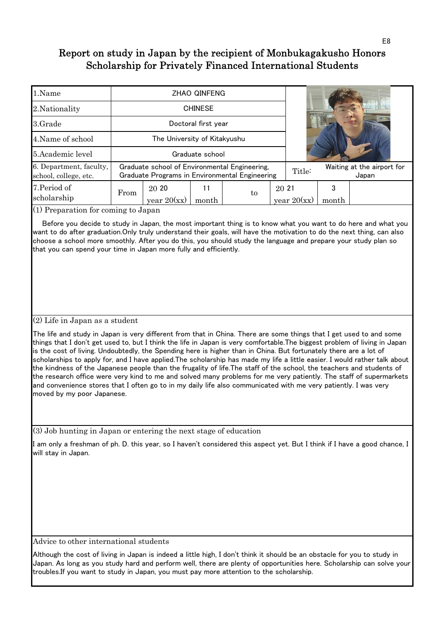| 1.Name                                           |                              |                                                                                                 | <b>ZHAO QINFENG</b> |    |       |               |            |                                     |  |  |  |
|--------------------------------------------------|------------------------------|-------------------------------------------------------------------------------------------------|---------------------|----|-------|---------------|------------|-------------------------------------|--|--|--|
| 2. Nationality                                   |                              |                                                                                                 | <b>CHINESE</b>      |    |       |               |            |                                     |  |  |  |
| 3.Grade                                          |                              |                                                                                                 | Doctoral first year |    |       |               |            |                                     |  |  |  |
| 4. Name of school                                | The University of Kitakyushu |                                                                                                 |                     |    |       |               |            |                                     |  |  |  |
| 5. Academic level                                |                              |                                                                                                 | Graduate school     |    |       |               |            |                                     |  |  |  |
| 6. Department, faculty,<br>school, college, etc. |                              | Graduate school of Environmental Engineering,<br>Graduate Programs in Environmental Engineering |                     |    |       |               |            | Waiting at the airport for<br>Japan |  |  |  |
| 7. Period of<br>scholarship                      | From                         | 20 20<br>year $20(xx)$                                                                          | 11<br>month         | to | 20 21 | year $20(xx)$ | 3<br>month |                                     |  |  |  |

(1) Preparation for coming to Japan

 Before you decide to study in Japan, the most important thing is to know what you want to do here and what you want to do after graduation.Only truly understand their goals, will have the motivation to do the next thing, can also choose a school more smoothly. After you do this, you should study the language and prepare your study plan so that you can spend your time in Japan more fully and efficiently.

### (2) Life in Japan as a student

The life and study in Japan is very different from that in China. There are some things that I get used to and some things that I don't get used to, but I think the life in Japan is very comfortable.The biggest problem of living in Japan is the cost of living. Undoubtedly, the Spending here is higher than in China. But fortunately there are a lot of scholarships to apply for, and I have applied.The scholarship has made my life a little easier. I would rather talk about the kindness of the Japanese people than the frugality of life.The staff of the school, the teachers and students of the research office were very kind to me and solved many problems for me very patiently. The staff of supermarkets and convenience stores that I often go to in my daily life also communicated with me very patiently. I was very moved by my poor Japanese.

(3) Job hunting in Japan or entering the next stage of education

I am only a freshman of ph. D. this year, so I haven't considered this aspect yet. But I think if I have a good chance, I will stay in Japan.

Advice to other international students

Although the cost of living in Japan is indeed a little high, I don't think it should be an obstacle for you to study in Japan. As long as you study hard and perform well, there are plenty of opportunities here. Scholarship can solve your troubles.If you want to study in Japan, you must pay more attention to the scholarship.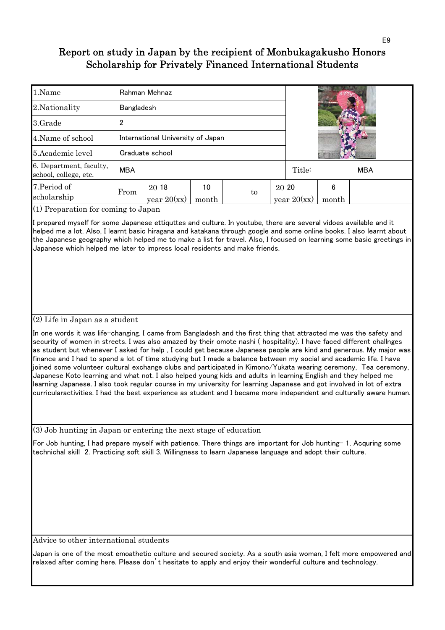| 1.Name                                           |            | Rahman Mehnaz                     |             |    |        |               |            |  |
|--------------------------------------------------|------------|-----------------------------------|-------------|----|--------|---------------|------------|--|
| 2. Nationality                                   | Bangladesh |                                   |             |    |        |               |            |  |
| 3.Grade                                          | 2          |                                   |             |    |        |               |            |  |
| 4. Name of school                                |            | International University of Japan |             |    |        |               |            |  |
| 5. Academic level                                |            | Graduate school                   |             |    |        |               |            |  |
| 6. Department, faculty,<br>school, college, etc. | <b>MBA</b> |                                   |             |    | Title: |               | <b>MBA</b> |  |
| 7. Period of<br>scholarship                      | From       | 20 18<br>year $20(xx)$            | 10<br>month | to | 20 20  | year $20(xx)$ | 6<br>month |  |

(1) Preparation for coming to Japan

I prepared myself for some Japanese ettiquttes and culture. In youtube, there are several vidoes available and it helped me a lot. Also, I learnt basic hiragana and katakana through google and some online books. I also learnt about the Japanese geography which helped me to make a list for travel. Also, I focused on learning some basic greetings in Japanese which helped me later to impress local residents and make friends.

### (2) Life in Japan as a student

In one words it was life-changing. I came from Bangladesh and the first thing that attracted me was the safety and security of women in streets. I was also amazed by their omote nashi ( hospitality). I have faced different challnges as student but whenever I asked for help , I could get because Japanese people are kind and generous. My major was finance and I had to spend a lot of time studying but I made a balance between my social and academic life. I have joined some volunteer cultural exchange clubs and participated in Kimono/Yukata wearing ceremony, Tea ceremony, Japanese Koto learning and what not. I also helped young kids and adults in learning English and they helped me learning Japanese. I also took regular course in my university for learning Japanese and got involved in lot of extra curricularactivities. I had the best experience as student and I became more independent and culturally aware human.

(3) Job hunting in Japan or entering the next stage of education

For Job hunting, I had prepare myself with patience. There things are important for Job hunting- 1. Acquring some technichal skill 2. Practicing soft skill 3. Willingness to learn Japanese language and adopt their culture.

Advice to other international students

Japan is one of the most emoathetic culture and secured society. As a south asia woman, I felt more empowered and relaxed after coming here. Please don't hesitate to apply and enjoy their wonderful culture and technology.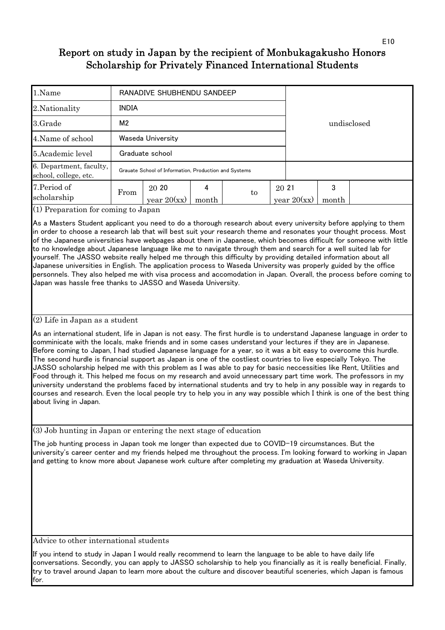| 1.Name                                           |                | RANADIVE SHUBHENDU SANDEEP                            |            |             |       |               |            |  |  |  |  |
|--------------------------------------------------|----------------|-------------------------------------------------------|------------|-------------|-------|---------------|------------|--|--|--|--|
| 2. Nationality                                   | <b>INDIA</b>   |                                                       |            |             |       |               |            |  |  |  |  |
| 3.Grade                                          | M <sub>2</sub> |                                                       |            | undisclosed |       |               |            |  |  |  |  |
| 4. Name of school                                |                | Waseda University                                     |            |             |       |               |            |  |  |  |  |
| 5. Academic level                                |                | Graduate school                                       |            |             |       |               |            |  |  |  |  |
| 6. Department, faculty,<br>school, college, etc. |                | Grauate School of Information, Production and Systems |            |             |       |               |            |  |  |  |  |
| 7. Period of<br>scholarship                      | From           | 20 20<br>year $20(xx)$                                | 4<br>month | to          | 20 21 | year $20(xx)$ | 3<br>month |  |  |  |  |

(1) Preparation for coming to Japan

As a Masters Student applicant you need to do a thorough research about every university before applying to them in order to choose a research lab that will best suit your research theme and resonates your thought process. Most of the Japanese universities have webpages about them in Japanese, which becomes difficult for someone with little to no knowledge about Japanese language like me to navigate through them and search for a well suited lab for yourself. The JASSO website really helped me through this difficulty by providing detailed information about all Japanese universities in English. The application process to Waseda University was properly guided by the office personnels. They also helped me with visa process and accomodation in Japan. Overall, the process before coming to Japan was hassle free thanks to JASSO and Waseda University.

### (2) Life in Japan as a student

As an international student, life in Japan is not easy. The first hurdle is to understand Japanese language in order to comminicate with the locals, make friends and in some cases understand your lectures if they are in Japanese. Before coming to Japan, I had studied Japanese language for a year, so it was a bit easy to overcome this hurdle. The second hurdle is financial support as Japan is one of the costliest countries to live especially Tokyo. The JASSO scholarship helped me with this problem as I was able to pay for basic neccessities like Rent, Utilities and Food through it. This helped me focus on my research and avoid unnecessary part time work. The professors in my university understand the problems faced by international students and try to help in any possible way in regards to courses and research. Even the local people try to help you in any way possible which I think is one of the best thing about living in Japan.

(3) Job hunting in Japan or entering the next stage of education

The job hunting process in Japan took me longer than expected due to COVID-19 circumstances. But the university's career center and my friends helped me throughout the process. I'm looking forward to working in Japan and getting to know more about Japanese work culture after completing my graduation at Waseda University.

Advice to other international students

If you intend to study in Japan I would really recommend to learn the language to be able to have daily life conversations. Secondly, you can apply to JASSO scholarship to help you financially as it is really beneficial. Finally, try to travel around Japan to learn more about the culture and discover beautiful sceneries, which Japan is famous for.